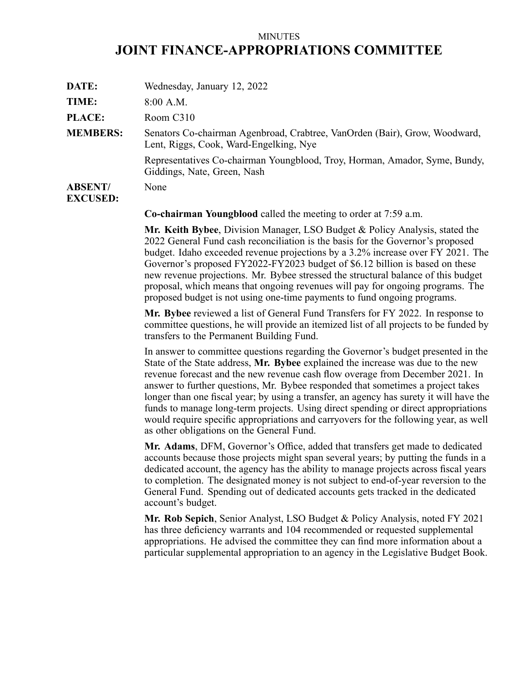## MINUTES **JOINT FINANCE-APPROPRIATIONS COMMITTEE**

| DATE:                             | Wednesday, January 12, 2022                                                                                          |
|-----------------------------------|----------------------------------------------------------------------------------------------------------------------|
| TIME:                             | $8:00$ A.M.                                                                                                          |
| <b>PLACE:</b>                     | Room C310                                                                                                            |
| <b>MEMBERS:</b>                   | Senators Co-chairman Agenbroad, Crabtree, VanOrden (Bair), Grow, Woodward,<br>Lent, Riggs, Cook, Ward-Engelking, Nye |
|                                   | Representatives Co-chairman Youngblood, Troy, Horman, Amador, Syme, Bundy,<br>Giddings, Nate, Green, Nash            |
| <b>ABSENT/</b><br><b>EXCUSED:</b> | None                                                                                                                 |

**Co-chairman Youngblood** called the meeting to order at 7:59 a.m.

**Mr. Keith Bybee**, Division Manager, LSO Budget & Policy Analysis, stated the 2022 General Fund cash reconciliation is the basis for the Governor's proposed budget. Idaho exceeded revenue projections by <sup>a</sup> 3.2% increase over FY 2021. The Governor's proposed FY2022-FY2023 budget of \$6.12 billion is based on these new revenue projections. Mr. Bybee stressed the structural balance of this budget proposal, which means that ongoing revenues will pay for ongoing programs. The proposed budget is not using one-time payments to fund ongoing programs.

**Mr. Bybee** reviewed <sup>a</sup> list of General Fund Transfers for FY 2022. In response to committee questions, he will provide an itemized list of all projects to be funded by transfers to the Permanent Building Fund.

In answer to committee questions regarding the Governor's budget presented in the State of the State address, **Mr. Bybee** explained the increase was due to the new revenue forecast and the new revenue cash flow overage from December 2021. In answer to further questions, Mr. Bybee responded that sometimes <sup>a</sup> project takes longer than one fiscal year; by using <sup>a</sup> transfer, an agency has surety it will have the funds to manage long-term projects. Using direct spending or direct appropriations would require specific appropriations and carryovers for the following year, as well as other obligations on the General Fund.

**Mr. Adams**, DFM, Governor's Office, added that transfers ge<sup>t</sup> made to dedicated accounts because those projects might span several years; by putting the funds in <sup>a</sup> dedicated account, the agency has the ability to manage projects across fiscal years to completion. The designated money is not subject to end-of-year reversion to the General Fund. Spending out of dedicated accounts gets tracked in the dedicated account's budget.

**Mr. Rob Sepich**, Senior Analyst, LSO Budget & Policy Analysis, noted FY 2021 has three deficiency warrants and 104 recommended or requested supplemental appropriations. He advised the committee they can find more information about <sup>a</sup> particular supplemental appropriation to an agency in the Legislative Budget Book.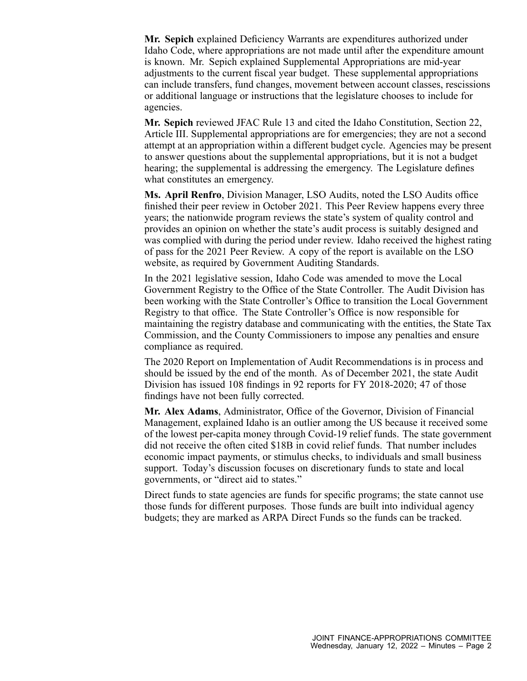**Mr. Sepich** explained Deficiency Warrants are expenditures authorized under Idaho Code, where appropriations are not made until after the expenditure amount is known. Mr. Sepich explained Supplemental Appropriations are mid-year adjustments to the current fiscal year budget. These supplemental appropriations can include transfers, fund changes, movement between account classes, rescissions or additional language or instructions that the legislature chooses to include for agencies.

**Mr. Sepich** reviewed JFAC Rule 13 and cited the Idaho Constitution, Section 22, Article III. Supplemental appropriations are for emergencies; they are not <sup>a</sup> second attempt at an appropriation within <sup>a</sup> different budget cycle. Agencies may be presen<sup>t</sup> to answer questions about the supplemental appropriations, but it is not <sup>a</sup> budget hearing; the supplemental is addressing the emergency. The Legislature defines what constitutes an emergency.

**Ms. April Renfro**, Division Manager, LSO Audits, noted the LSO Audits office finished their peer review in October 2021. This Peer Review happens every three years; the nationwide program reviews the state's system of quality control and provides an opinion on whether the state's audit process is suitably designed and was complied with during the period under review. Idaho received the highest rating of pass for the 2021 Peer Review. A copy of the repor<sup>t</sup> is available on the LSO website, as required by Government Auditing Standards.

In the 2021 legislative session, Idaho Code was amended to move the Local Government Registry to the Office of the State Controller. The Audit Division has been working with the State Controller's Office to transition the Local Government Registry to that office. The State Controller's Office is now responsible for maintaining the registry database and communicating with the entities, the State Tax Commission, and the County Commissioners to impose any penalties and ensure compliance as required.

The 2020 Report on Implementation of Audit Recommendations is in process and should be issued by the end of the month. As of December 2021, the state Audit Division has issued 108 findings in 92 reports for FY 2018-2020; 47 of those findings have not been fully corrected.

**Mr. Alex Adams**, Administrator, Office of the Governor, Division of Financial Management, explained Idaho is an outlier among the US because it received some of the lowest per-capita money through Covid-19 relief funds. The state governmen<sup>t</sup> did not receive the often cited \$18B in covid relief funds. That number includes economic impact payments, or stimulus checks, to individuals and small business support. Today's discussion focuses on discretionary funds to state and local governments, or "direct aid to states."

Direct funds to state agencies are funds for specific programs; the state cannot use those funds for different purposes. Those funds are built into individual agency budgets; they are marked as ARPA Direct Funds so the funds can be tracked.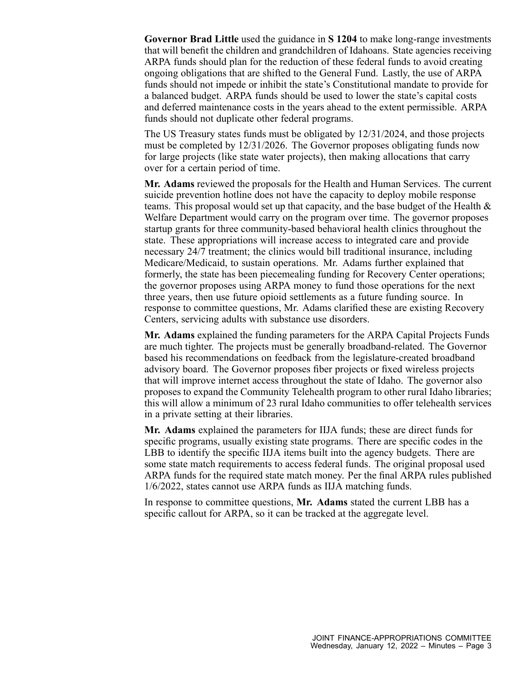**Governor Brad Little** used the guidance in **S 1204** to make long-range investments that will benefit the children and grandchildren of Idahoans. State agencies receiving ARPA funds should plan for the reduction of these federal funds to avoid creating ongoing obligations that are shifted to the General Fund. Lastly, the use of ARPA funds should not impede or inhibit the state's Constitutional mandate to provide for <sup>a</sup> balanced budget. ARPA funds should be used to lower the state's capital costs and deferred maintenance costs in the years ahead to the extent permissible. ARPA funds should not duplicate other federal programs.

The US Treasury states funds must be obligated by 12/31/2024, and those projects must be completed by 12/31/2026. The Governor proposes obligating funds now for large projects (like state water projects), then making allocations that carry over for <sup>a</sup> certain period of time.

**Mr. Adams** reviewed the proposals for the Health and Human Services. The current suicide prevention hotline does not have the capacity to deploy mobile response teams. This proposal would set up that capacity, and the base budget of the Health & Welfare Department would carry on the program over time. The governor proposes startup grants for three community-based behavioral health clinics throughout the state. These appropriations will increase access to integrated care and provide necessary 24/7 treatment; the clinics would bill traditional insurance, including Medicare/Medicaid, to sustain operations. Mr. Adams further explained that formerly, the state has been piecemealing funding for Recovery Center operations; the governor proposes using ARPA money to fund those operations for the next three years, then use future opioid settlements as <sup>a</sup> future funding source. In response to committee questions, Mr. Adams clarified these are existing Recovery Centers, servicing adults with substance use disorders.

**Mr. Adams** explained the funding parameters for the ARPA Capital Projects Funds are much tighter. The projects must be generally broadband-related. The Governor based his recommendations on feedback from the legislature-created broadband advisory board. The Governor proposes fiber projects or fixed wireless projects that will improve internet access throughout the state of Idaho. The governor also proposes to expand the Community Telehealth program to other rural Idaho libraries; this will allow <sup>a</sup> minimum of 23 rural Idaho communities to offer telehealth services in <sup>a</sup> private setting at their libraries.

**Mr. Adams** explained the parameters for IIJA funds; these are direct funds for specific programs, usually existing state programs. There are specific codes in the LBB to identify the specific IIJA items built into the agency budgets. There are some state match requirements to access federal funds. The original proposal used ARPA funds for the required state match money. Per the final ARPA rules published 1/6/2022, states cannot use ARPA funds as IIJA matching funds.

In response to committee questions, **Mr. Adams** stated the current LBB has <sup>a</sup> specific callout for ARPA, so it can be tracked at the aggregate level.